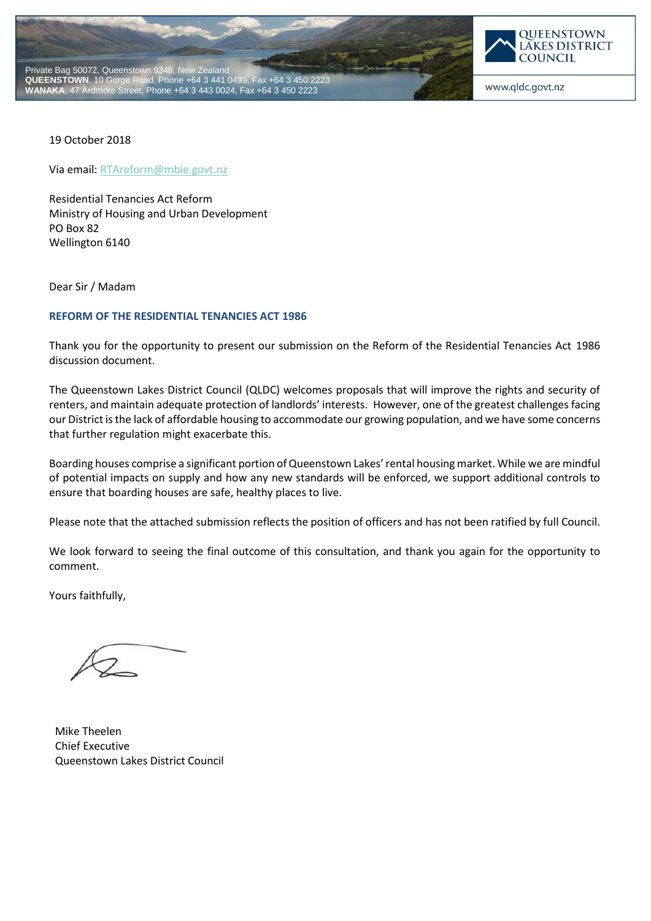



19 October 2018

Via email[: RTAreform@mbie.govt.nz](mailto:RTAreform@mbie.govt.nz)

Residential Tenancies Act Reform Ministry of Housing and Urban Development PO Box 82 Wellington 6140

Dear Sir / Madam

### **REFORM OF THE RESIDENTIAL TENANCIES ACT 1986**

Thank you for the opportunity to present our submission on the Reform of the Residential Tenancies Act 1986 discussion document.

The Queenstown Lakes District Council (QLDC) welcomes proposals that will improve the rights and security of renters, and maintain adequate protection of landlords' interests. However, one of the greatest challenges facing our District is the lack of affordable housing to accommodate our growing population, and we have some concerns that further regulation might exacerbate this.

Boarding houses comprise a significant portion of Queenstown Lakes' rental housing market. While we are mindful of potential impacts on supply and how any new standards will be enforced, we support additional controls to ensure that boarding houses are safe, healthy places to live.

Please note that the attached submission reflects the position of officers and has not been ratified by full Council.

We look forward to seeing the final outcome of this consultation, and thank you again for the opportunity to comment.

Yours faithfully,

Mike Theelen Chief Executive Queenstown Lakes District Council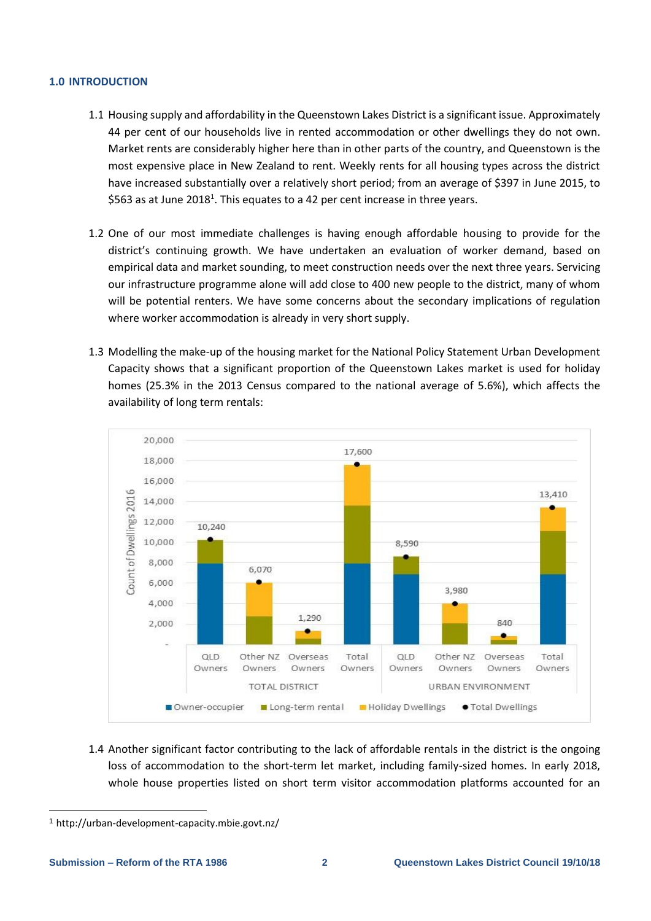### **1.0 INTRODUCTION**

- 1.1 Housing supply and affordability in the Queenstown Lakes District is a significant issue. Approximately 44 per cent of our households live in rented accommodation or other dwellings they do not own. Market rents are considerably higher here than in other parts of the country, and Queenstown is the most expensive place in New Zealand to rent. Weekly rents for all housing types across the district have increased substantially over a relatively short period; from an average of \$397 in June 2015, to \$563 as at June 2018<sup>1</sup>. This equates to a 42 per cent increase in three years.
- 1.2 One of our most immediate challenges is having enough affordable housing to provide for the district's continuing growth. We have undertaken an evaluation of worker demand, based on empirical data and market sounding, to meet construction needs over the next three years. Servicing our infrastructure programme alone will add close to 400 new people to the district, many of whom will be potential renters. We have some concerns about the secondary implications of regulation where worker accommodation is already in very short supply.
- 1.3 Modelling the make-up of the housing market for the National Policy Statement Urban Development Capacity shows that a significant proportion of the Queenstown Lakes market is used for holiday homes (25.3% in the 2013 Census compared to the national average of 5.6%), which affects the availability of long term rentals:



1.4 Another significant factor contributing to the lack of affordable rentals in the district is the ongoing loss of accommodation to the short-term let market, including family-sized homes. In early 2018, whole house properties listed on short term visitor accommodation platforms accounted for an

-

<sup>1</sup> <http://urban-development-capacity.mbie.govt.nz/>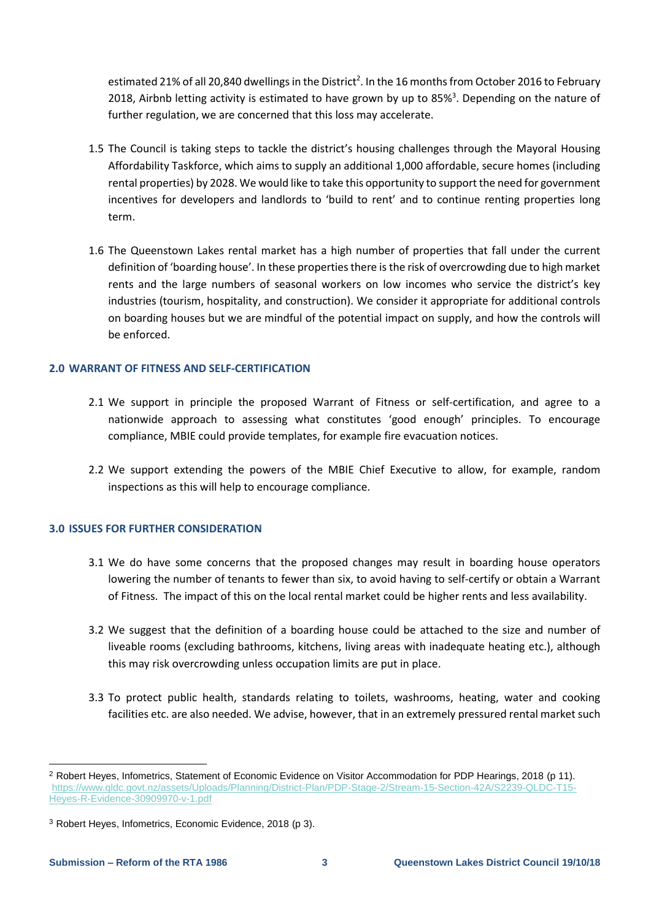estimated 21% of all 20,840 dwellings in the District<sup>2</sup>. In the 16 months from October 2016 to February 2018, Airbnb letting activity is estimated to have grown by up to 85%<sup>3</sup>. Depending on the nature of further regulation, we are concerned that this loss may accelerate.

- 1.5 The Council is taking steps to tackle the district's housing challenges through the Mayoral Housing Affordability Taskforce, which aims to supply an additional 1,000 affordable, secure homes (including rental properties) by 2028. We would like to take this opportunity to support the need for government incentives for developers and landlords to 'build to rent' and to continue renting properties long term.
- 1.6 The Queenstown Lakes rental market has a high number of properties that fall under the current definition of 'boarding house'. In these properties there is the risk of overcrowding due to high market rents and the large numbers of seasonal workers on low incomes who service the district's key industries (tourism, hospitality, and construction). We consider it appropriate for additional controls on boarding houses but we are mindful of the potential impact on supply, and how the controls will be enforced.

# **2.0 WARRANT OF FITNESS AND SELF-CERTIFICATION**

- 2.1 We support in principle the proposed Warrant of Fitness or self-certification, and agree to a nationwide approach to assessing what constitutes 'good enough' principles. To encourage compliance, MBIE could provide templates, for example fire evacuation notices.
- 2.2 We support extending the powers of the MBIE Chief Executive to allow, for example, random inspections as this will help to encourage compliance.

# **3.0 ISSUES FOR FURTHER CONSIDERATION**

- 3.1 We do have some concerns that the proposed changes may result in boarding house operators lowering the number of tenants to fewer than six, to avoid having to self-certify or obtain a Warrant of Fitness. The impact of this on the local rental market could be higher rents and less availability.
- 3.2 We suggest that the definition of a boarding house could be attached to the size and number of liveable rooms (excluding bathrooms, kitchens, living areas with inadequate heating etc.), although this may risk overcrowding unless occupation limits are put in place.
- 3.3 To protect public health, standards relating to toilets, washrooms, heating, water and cooking facilities etc. are also needed. We advise, however, that in an extremely pressured rental market such

-

<sup>2</sup> Robert Heyes, Infometrics, Statement of Economic Evidence on Visitor Accommodation for PDP Hearings, 2018 (p 11). [https://www.qldc.govt.nz/assets/Uploads/Planning/District-Plan/PDP-Stage-2/Stream-15-Section-42A/S2239-QLDC-T15-](https://www.qldc.govt.nz/assets/Uploads/Planning/District-Plan/PDP-Stage-2/Stream-15-Section-42A/S2239-QLDC-T15-Heyes-R-Evidence-30909970-v-1.pdf) [Heyes-R-Evidence-30909970-v-1.pdf](https://www.qldc.govt.nz/assets/Uploads/Planning/District-Plan/PDP-Stage-2/Stream-15-Section-42A/S2239-QLDC-T15-Heyes-R-Evidence-30909970-v-1.pdf)

<sup>3</sup> Robert Heyes, Infometrics, Economic Evidence, 2018 (p 3).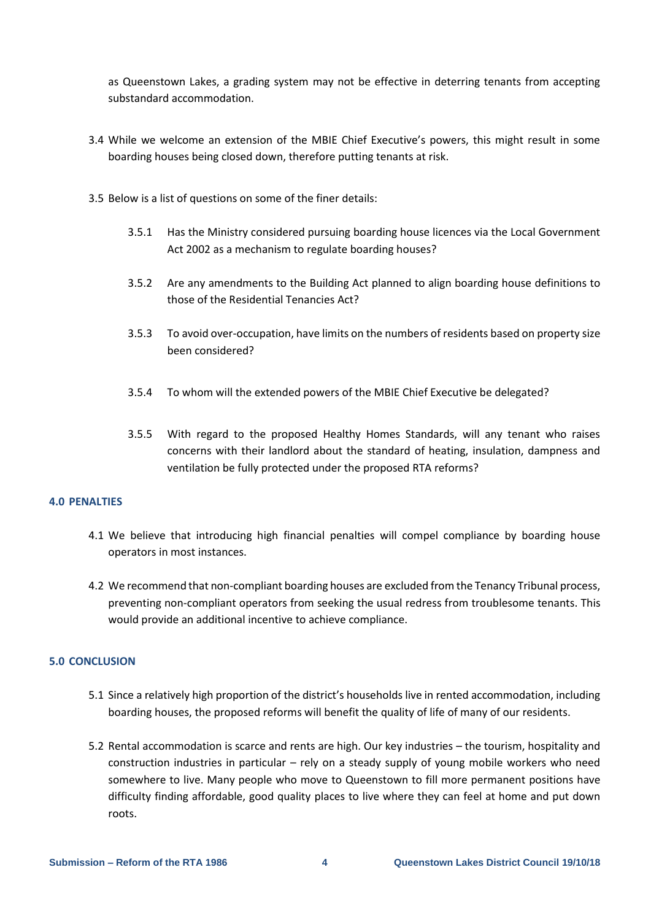as Queenstown Lakes, a grading system may not be effective in deterring tenants from accepting substandard accommodation.

- 3.4 While we welcome an extension of the MBIE Chief Executive's powers, this might result in some boarding houses being closed down, therefore putting tenants at risk.
- 3.5 Below is a list of questions on some of the finer details:
	- 3.5.1 Has the Ministry considered pursuing boarding house licences via the Local Government Act 2002 as a mechanism to regulate boarding houses?
	- 3.5.2 Are any amendments to the Building Act planned to align boarding house definitions to those of the Residential Tenancies Act?
	- 3.5.3 To avoid over-occupation, have limits on the numbers of residents based on property size been considered?
	- 3.5.4 To whom will the extended powers of the MBIE Chief Executive be delegated?
	- 3.5.5 With regard to the proposed Healthy Homes Standards, will any tenant who raises concerns with their landlord about the standard of heating, insulation, dampness and ventilation be fully protected under the proposed RTA reforms?

# **4.0 PENALTIES**

- 4.1 We believe that introducing high financial penalties will compel compliance by boarding house operators in most instances.
- 4.2 We recommend that non-compliant boarding houses are excluded from the Tenancy Tribunal process, preventing non-compliant operators from seeking the usual redress from troublesome tenants. This would provide an additional incentive to achieve compliance.

# **5.0 CONCLUSION**

- 5.1 Since a relatively high proportion of the district's households live in rented accommodation, including boarding houses, the proposed reforms will benefit the quality of life of many of our residents.
- 5.2 Rental accommodation is scarce and rents are high. Our key industries the tourism, hospitality and construction industries in particular – rely on a steady supply of young mobile workers who need somewhere to live. Many people who move to Queenstown to fill more permanent positions have difficulty finding affordable, good quality places to live where they can feel at home and put down roots.